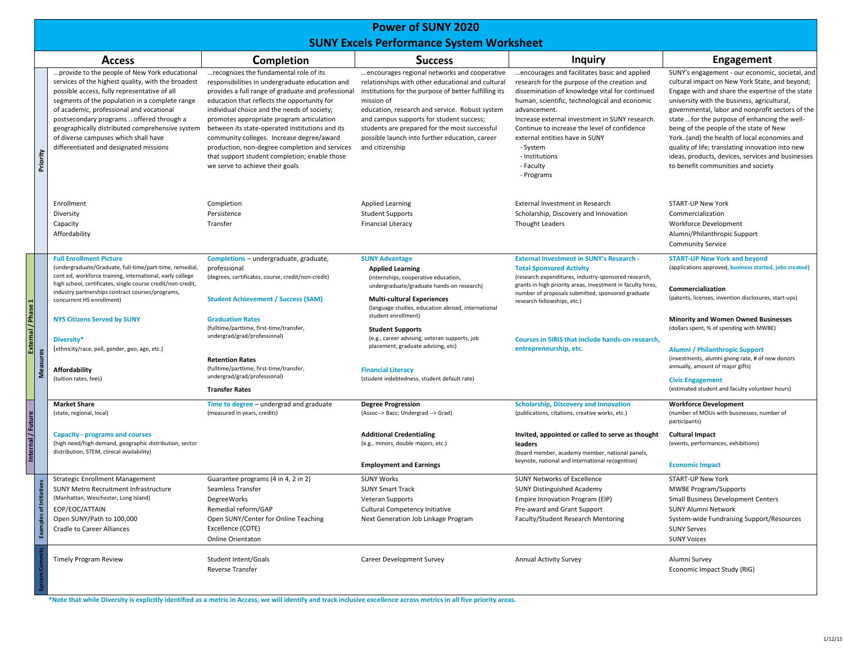## **Power of SUNY 2020 SUNY Excels Performance System Worksheet**

|          |                                                                                                                                                                                                                                                                                                                                                                                                                                     |                                                                                                                                                                                                                                                                                                                                                                                                                                                                                                                                  | <b>JONT LACED FEHRIMANCE JYSCEM WORKSHEED</b>                                                                                                                                                                                                                                                                                                                                                |                                                                                                                                                                                                                                                                                                                                                                                                              |                                                                                                                                                                                                                                                                                                                                                                                                                                                                                                                                                    |
|----------|-------------------------------------------------------------------------------------------------------------------------------------------------------------------------------------------------------------------------------------------------------------------------------------------------------------------------------------------------------------------------------------------------------------------------------------|----------------------------------------------------------------------------------------------------------------------------------------------------------------------------------------------------------------------------------------------------------------------------------------------------------------------------------------------------------------------------------------------------------------------------------------------------------------------------------------------------------------------------------|----------------------------------------------------------------------------------------------------------------------------------------------------------------------------------------------------------------------------------------------------------------------------------------------------------------------------------------------------------------------------------------------|--------------------------------------------------------------------------------------------------------------------------------------------------------------------------------------------------------------------------------------------------------------------------------------------------------------------------------------------------------------------------------------------------------------|----------------------------------------------------------------------------------------------------------------------------------------------------------------------------------------------------------------------------------------------------------------------------------------------------------------------------------------------------------------------------------------------------------------------------------------------------------------------------------------------------------------------------------------------------|
|          | <b>Access</b>                                                                                                                                                                                                                                                                                                                                                                                                                       | <b>Completion</b>                                                                                                                                                                                                                                                                                                                                                                                                                                                                                                                | <b>Success</b>                                                                                                                                                                                                                                                                                                                                                                               | Inquiry                                                                                                                                                                                                                                                                                                                                                                                                      | <b>Engagement</b>                                                                                                                                                                                                                                                                                                                                                                                                                                                                                                                                  |
| Priority | provide to the people of New York educational<br>services of the highest quality, with the broadest<br>possible access, fully representative of all<br>segments of the population in a complete range<br>of academic, professional and vocational<br>postsecondary programs  offered through a<br>geographically distributed comprehensive system<br>of diverse campuses which shall have<br>differentiated and designated missions | recognizes the fundamental role of its<br>responsibilities in undergraduate education and<br>provides a full range of graduate and professional<br>education that reflects the opportunity for<br>individual choice and the needs of society;<br>promotes appropriate program articulation<br>between its state-operated institutions and its<br>community colleges. Increase degree/award<br>production, non-degree completion and services<br>that support student completion; enable those<br>we serve to achieve their goals | encourages regional networks and cooperative<br>relationships with other educational and cultural<br>institutions for the purpose of better fulfilling its<br>mission of<br>education, research and service. Robust system<br>and campus supports for student success;<br>students are prepared for the most successful<br>possible launch into further education, career<br>and citizenship | encourages and facilitates basic and applied<br>research for the purpose of the creation and<br>dissemination of knowledge vital for continued<br>human, scientific, technological and economic<br>advancement.<br>Increase external investment in SUNY research.<br>Continue to increase the level of confidence<br>external entities have in SUNY<br>- System<br>- Institutions<br>- Faculty<br>- Programs | SUNY's engagement - our economic, societal, and<br>cultural impact on New York State, and beyond;<br>Engage with and share the expertise of the state<br>university with the business, agricultural,<br>governmental, labor and nonprofit sectors of the<br>state  for the purpose of enhancing the well-<br>being of the people of the state of New<br>York(and) the health of local economies and<br>quality of life; translating innovation into new<br>ideas, products, devices, services and businesses<br>to benefit communities and society |
|          | Enrollment<br>Diversity<br>Capacity<br>Affordability                                                                                                                                                                                                                                                                                                                                                                                | Completion<br>Persistence<br>Transfer                                                                                                                                                                                                                                                                                                                                                                                                                                                                                            | <b>Applied Learning</b><br><b>Student Supports</b><br><b>Financial Literacy</b>                                                                                                                                                                                                                                                                                                              | External Investment in Research<br>Scholarship, Discovery and Innovation<br><b>Thought Leaders</b>                                                                                                                                                                                                                                                                                                           | <b>START-UP New York</b><br>Commercialization<br>Workforce Development<br>Alumni/Philanthropic Support<br><b>Community Service</b>                                                                                                                                                                                                                                                                                                                                                                                                                 |
|          | <b>Full Enrollment Picture</b><br>(undergraduate/Graduate, full-time/part-time, remedial,                                                                                                                                                                                                                                                                                                                                           | Completions - undergraduate, graduate,<br>professional                                                                                                                                                                                                                                                                                                                                                                                                                                                                           | <b>SUNY Advantage</b><br><b>Applied Learning</b>                                                                                                                                                                                                                                                                                                                                             | <b>External Investment in SUNY's Research -</b><br><b>Total Sponsored Activity</b>                                                                                                                                                                                                                                                                                                                           | <b>START-UP New York and beyond</b><br>(applications approved, business started, jobs created)                                                                                                                                                                                                                                                                                                                                                                                                                                                     |
|          | cont ed, workforce training, international, early college<br>high school, certificates, single course credit/non-credit,<br>industry partnerships contract courses/programs,<br>concurrent HS enrollment)                                                                                                                                                                                                                           | (degrees, certificates, course, credit/non-credit)<br><b>Student Achievement / Success (SAM)</b>                                                                                                                                                                                                                                                                                                                                                                                                                                 | (internships, cooperative education,<br>undergraduate/graduate hands-on research)<br><b>Multi-cultural Experiences</b><br>(language studies, education abroad, international                                                                                                                                                                                                                 | (research expenditures, industry-sponsored research,<br>grants in high priority areas, investment in faculty hires,<br>number of proposals submitted, sponsored graduate<br>research fellowships, etc.)                                                                                                                                                                                                      | Commercialization<br>(patents, licenses, invention disclosures, start-ups)                                                                                                                                                                                                                                                                                                                                                                                                                                                                         |
|          | <b>NYS Citizens Served by SUNY</b>                                                                                                                                                                                                                                                                                                                                                                                                  | <b>Graduation Rates</b><br>(fulltime/parttime, first-time/transfer,                                                                                                                                                                                                                                                                                                                                                                                                                                                              | student enrollment)<br><b>Student Supports</b>                                                                                                                                                                                                                                                                                                                                               |                                                                                                                                                                                                                                                                                                                                                                                                              | <b>Minority and Women Owned Businesses</b><br>(dollars spent, % of spending with MWBE)                                                                                                                                                                                                                                                                                                                                                                                                                                                             |
|          | Diversity*<br>(ethnicity/race, pell, gender, geo, age, etc.)<br>Affordability                                                                                                                                                                                                                                                                                                                                                       | undergrad/grad/professional)<br><b>Retention Rates</b><br>(fulltime/parttime, first-time/transfer,                                                                                                                                                                                                                                                                                                                                                                                                                               | (e.g., career advising, veteran supports, job<br>placement, graduate advising, etc)<br><b>Financial Literacy</b>                                                                                                                                                                                                                                                                             | Courses in SIRIS that include hands-on research,<br>entrepreneurship, etc.                                                                                                                                                                                                                                                                                                                                   | Alumni / Philanthropic Support<br>(investments, alumni giving rate, # of new donors<br>annually, amount of major gifts)                                                                                                                                                                                                                                                                                                                                                                                                                            |
|          | (tuition rates, fees)                                                                                                                                                                                                                                                                                                                                                                                                               | undergrad/grad/professional)<br><b>Transfer Rates</b>                                                                                                                                                                                                                                                                                                                                                                                                                                                                            | (student indebtedness, student default rate)                                                                                                                                                                                                                                                                                                                                                 |                                                                                                                                                                                                                                                                                                                                                                                                              | <b>Civic Engagement</b><br>(estimated student and faculty volunteer hours)                                                                                                                                                                                                                                                                                                                                                                                                                                                                         |
|          | <b>Market Share</b><br>(state, regional, local)                                                                                                                                                                                                                                                                                                                                                                                     | Time to degree - undergrad and graduate<br>(measured in years, credits)                                                                                                                                                                                                                                                                                                                                                                                                                                                          | <b>Degree Progression</b><br>(Assoc--> Bacc; Undergrad --> Grad)                                                                                                                                                                                                                                                                                                                             | <b>Scholarship, Discovery and Innovation</b><br>(publications, citations, creative works, etc.)                                                                                                                                                                                                                                                                                                              | <b>Workforce Development</b><br>(number of MOUs with businesses, number of                                                                                                                                                                                                                                                                                                                                                                                                                                                                         |
|          | <b>Capacity - programs and courses</b><br>(high need/high demand, geographic distribution, sector<br>distribution, STEM, clinical availability)                                                                                                                                                                                                                                                                                     |                                                                                                                                                                                                                                                                                                                                                                                                                                                                                                                                  | <b>Additional Credentialing</b><br>(e.g., minors, double majors, etc.)                                                                                                                                                                                                                                                                                                                       | Invited, appointed or called to serve as thought<br>leaders<br>(board member, academy member, national panels,                                                                                                                                                                                                                                                                                               | participants)<br><b>Cultural Impact</b><br>(events, performances, exhibitions)                                                                                                                                                                                                                                                                                                                                                                                                                                                                     |
|          |                                                                                                                                                                                                                                                                                                                                                                                                                                     |                                                                                                                                                                                                                                                                                                                                                                                                                                                                                                                                  | <b>Employment and Earnings</b>                                                                                                                                                                                                                                                                                                                                                               | keynote, national and international recognition)                                                                                                                                                                                                                                                                                                                                                             | <b>Economic Impact</b>                                                                                                                                                                                                                                                                                                                                                                                                                                                                                                                             |
|          | <b>Strategic Enrollment Management</b><br>SUNY Metro Recruitment Infrastructure<br>(Manhattan, Weschester, Long Island)<br>EOP/EOC/ATTAIN<br>Open SUNY/Path to 100,000<br><b>Cradle to Career Alliances</b>                                                                                                                                                                                                                         | Guarantee programs (4 in 4, 2 in 2)<br>Seamless Transfer<br>DegreeWorks<br>Remedial reform/GAP<br>Open SUNY/Center for Online Teaching<br>Excellence (COTE)<br><b>Online Orientaton</b>                                                                                                                                                                                                                                                                                                                                          | <b>SUNY Works</b><br><b>SUNY Smart Track</b><br>Veteran Supports<br>Cultural Competency Initiative<br>Next Generation Job Linkage Program                                                                                                                                                                                                                                                    | <b>SUNY Networks of Excellence</b><br><b>SUNY Distinguished Academy</b><br>Empire Innovation Program (EIP)<br>Pre-award and Grant Support<br>Faculty/Student Research Mentoring                                                                                                                                                                                                                              | <b>START-UP New York</b><br><b>MWBE Program/Supports</b><br><b>Small Business Development Centers</b><br><b>SUNY Alumni Network</b><br>System-wide Fundraising Support/Resources<br><b>SUNY Serves</b><br><b>SUNY Voices</b>                                                                                                                                                                                                                                                                                                                       |
|          | <b>Timely Program Review</b>                                                                                                                                                                                                                                                                                                                                                                                                        | Student Intent/Goals<br>Reverse Transfer                                                                                                                                                                                                                                                                                                                                                                                                                                                                                         | Career Development Survey                                                                                                                                                                                                                                                                                                                                                                    | <b>Annual Activity Survey</b>                                                                                                                                                                                                                                                                                                                                                                                | Alumni Survey<br>Economic Impact Study (RIG)                                                                                                                                                                                                                                                                                                                                                                                                                                                                                                       |

\*Note that while Diversity is explicitly identified as a metric in Access, we will identify and track inclusive excellence across metrics in all five priority areas.

**Internal /**

**Future**

**External / Phase 1**